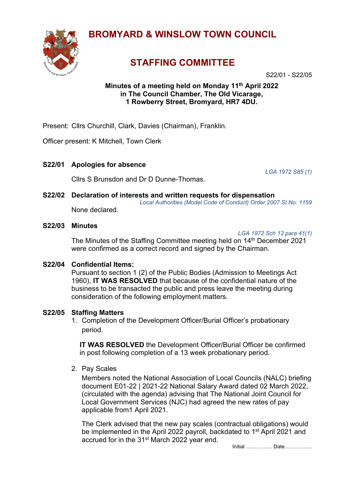

# **BROMYARD & WINSLOW TOWN COUNCIL**

# **STAFFING COMMITTEE**

S22/01 - S22/05

## **Minutes of a meeting held on Monday 11th April 2022 in The Council Chamber, The Old Vicarage, 1 Rowberry Street, Bromyard, HR7 4DU.**

Present: Cllrs Churchill, Clark, Davies (Chairman), Franklin.

Officer present: K Mitchell, Town Clerk

**S22/01 Apologies for absence**

Cllrs S Brunsdon and Dr D Dunne-Thomas.

*LGA 1972 S85 (1)*

**S22/02 Declaration of interests and written requests for dispensation** *Local Authorities (Model Code of Conduct) Order 2007 SI No. 1159* None declared.

**S22/03 Minutes** 

*LGA 1972 Sch 12 para 41(1)*

The Minutes of the Staffing Committee meeting held on 14<sup>th</sup> December 2021 were confirmed as a correct record and signed by the Chairman.

### **S22/04 Confidential Items:**

Pursuant to section 1 (2) of the Public Bodies (Admission to Meetings Act 1960), **IT WAS RESOLVED** that because of the confidential nature of the business to be transacted the public and press leave the meeting during consideration of the following employment matters.

### **S22/05 Staffing Matters**

1. Completion of the Development Officer/Burial Officer's probationary period.

**IT WAS RESOLVED** the Development Officer/Burial Officer be confirmed in post following completion of a 13 week probationary period.

2. Pay Scales

Members noted the National Association of Local Councils (NALC) briefing document E01-22 | 2021-22 National Salary Award dated 02 March 2022, (circulated with the agenda) advising that The National Joint Council for Local Government Services (NJC) had agreed the new rates of pay applicable from1 April 2021.

The Clerk advised that the new pay scales (contractual obligations) would be implemented in the April 2022 payroll, backdated to 1<sup>st</sup> April 2021 and accrued for in the 31st March 2022 year end.

Initial …………… Date…………….